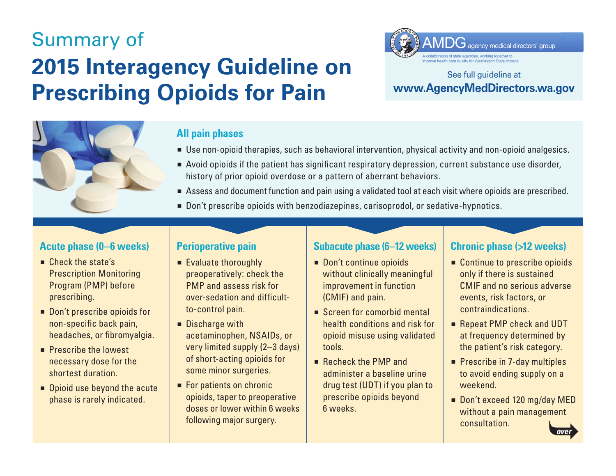# Summary of **2015 Interagency Guideline on Prescribing Opioids for Pain**  Summary of<br> **2015 Interagency Guideline on**<br> **Prescribing Opioids for Pain**<br>
WWW.AgencyMe



#### **All pain phases**

- Use non-opioid therapies, such as behavioral intervention, physical activity and non-opioid analgesics.
- Avoid opioids if the patient has significant respiratory depression, current substance use disorder, history of prior opioid overdose or a pattern of aberrant behaviors.
- Assess and document function and pain using a validated tool at each visit where opioids are prescribed.
- Don't prescribe opioids with benzodiazepines, carisoprodol, or sedative-hypnotics.

#### **Acute phase (0–6 weeks)**

- $\blacksquare$  Check the state's Prescription Monitoring Program (PMP) before prescribing.
- Don't prescribe opioids for non-specific back pain, headaches, or fibromyalgia.
- $\blacksquare$  Prescribe the lowest necessary dose for the shortest duration.
- Opioid use beyond the acute phase is rarely indicated.

#### **Perioperative pain**

- $\blacksquare$  Evaluate thoroughly preoperatively: check the PMP and assess risk for over-sedation and difficultto-control pain.
- **Discharge with** acetaminophen, NSAIDs, or very limited supply (2–3 days) of short-acting opioids for some minor surgeries.
- For patients on chronic opioids, taper to preoperative doses or lower within 6 weeks following major surgery.

#### **Subacute phase (6–12 weeks)**

- Don't continue opioids without clinically meaningful improvement in function (CMIF) and pain.
- Screen for comorbid mental health conditions and risk for opioid misuse using validated tools.
- Recheck the PMP and administer a baseline urine drug test (UDT) if you plan to prescribe opioids beyond 6 weeks.

### **Chronic phase (>12 weeks)**

- Continue to prescribe opioids only if there is sustained CMIF and no serious adverse events, risk factors, or contraindications.
- Repeat PMP check and UDT at frequency determined by the patient's risk category.
- **Prescribe in 7-day multiples** to avoid ending supply on a weekend.
- Don't exceed 120 mg/day MED without a pain management consultation. *over*





## See full guideline at **www.AgencyMedDirectors.wa.gov**